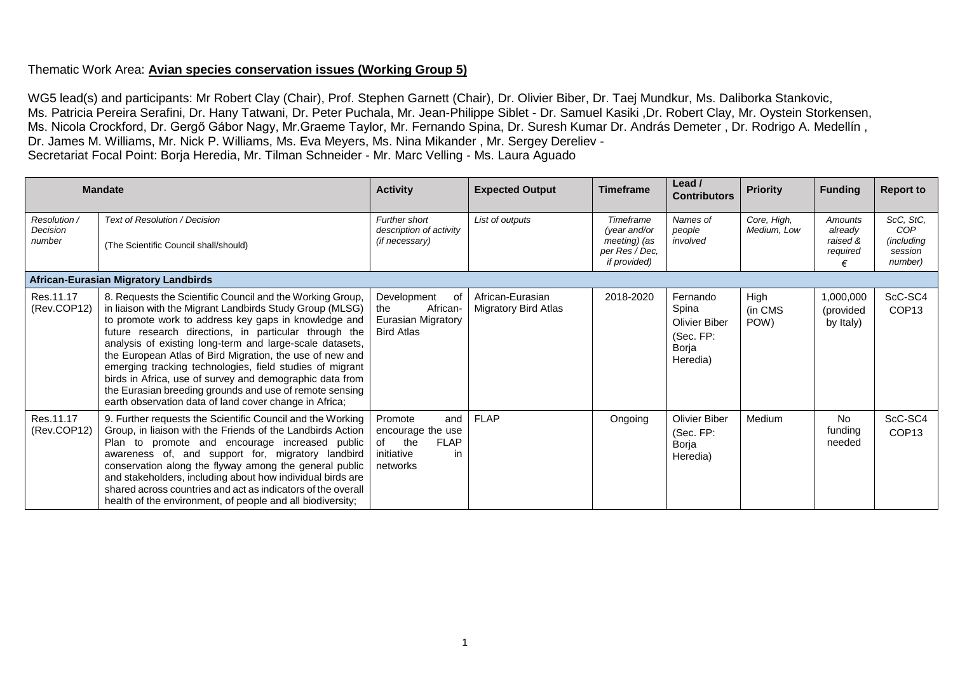## Thematic Work Area: **Avian species conservation issues (Working Group 5)**

WG5 lead(s) and participants: Mr Robert Clay (Chair), Prof. Stephen Garnett (Chair), Dr. Olivier Biber, Dr. Taej Mundkur, Ms. Daliborka Stankovic, Ms. Patricia Pereira Serafini, Dr. Hany Tatwani, Dr. Peter Puchala, Mr. Jean-Philippe Siblet - Dr. Samuel Kasiki ,Dr. Robert Clay, Mr. Oystein Storkensen, Ms. Nicola Crockford, Dr. Gergő Gábor Nagy, Mr.Graeme Taylor, Mr. Fernando Spina, Dr. Suresh Kumar Dr. András Demeter , Dr. Rodrigo A. Medellín , Dr. James M. Williams, Mr. Nick P. Williams, Ms. Eva Meyers, Ms. Nina Mikander , Mr. Sergey Dereliev - Secretariat Focal Point: Borja Heredia, Mr. Tilman Schneider - Mr. Marc Velling - Ms. Laura Aguado

|                                    | <b>Mandate</b>                                                                                                                                                                                                                                                                                                                                                                                                                                                                                                                                                                                              | <b>Activity</b>                                                                                 | <b>Expected Output</b>                   | Timeframe                                                                   | Lead /<br><b>Contributors</b>                                               | <b>Priority</b>            | <b>Funding</b>                             | <b>Report to</b>                                     |  |
|------------------------------------|-------------------------------------------------------------------------------------------------------------------------------------------------------------------------------------------------------------------------------------------------------------------------------------------------------------------------------------------------------------------------------------------------------------------------------------------------------------------------------------------------------------------------------------------------------------------------------------------------------------|-------------------------------------------------------------------------------------------------|------------------------------------------|-----------------------------------------------------------------------------|-----------------------------------------------------------------------------|----------------------------|--------------------------------------------|------------------------------------------------------|--|
| Resolution /<br>Decision<br>number | Text of Resolution / Decision<br>(The Scientific Council shall/should)                                                                                                                                                                                                                                                                                                                                                                                                                                                                                                                                      | Further short<br>description of activity<br>(if necessary)                                      | List of outputs                          | Timeframe<br>(year and/or<br>meeting) (as<br>per Res / Dec,<br>if provided) | Names of<br>people<br>involved                                              | Core, High,<br>Medium, Low | Amounts<br>already<br>raised &<br>required | ScC, StC,<br>COP<br>(including<br>session<br>number) |  |
|                                    | African-Eurasian Migratory Landbirds                                                                                                                                                                                                                                                                                                                                                                                                                                                                                                                                                                        |                                                                                                 |                                          |                                                                             |                                                                             |                            |                                            |                                                      |  |
| Res.11.17<br>(Rev.COP12)           | 8. Requests the Scientific Council and the Working Group,<br>in liaison with the Migrant Landbirds Study Group (MLSG)<br>to promote work to address key gaps in knowledge and<br>future research directions, in particular through the<br>analysis of existing long-term and large-scale datasets,<br>the European Atlas of Bird Migration, the use of new and<br>emerging tracking technologies, field studies of migrant<br>birds in Africa, use of survey and demographic data from<br>the Eurasian breeding grounds and use of remote sensing<br>earth observation data of land cover change in Africa; | Development<br>0f<br>African-<br>the<br>Eurasian Migratory<br><b>Bird Atlas</b>                 | African-Eurasian<br>Migratory Bird Atlas | 2018-2020                                                                   | Fernando<br>Spina<br><b>Olivier Biber</b><br>(Sec. FP:<br>Borja<br>Heredia) | High<br>(in CMS<br>POW)    | 1,000,000<br>(provided<br>by Italy)        | ScC-SC4<br>COP <sub>13</sub>                         |  |
| Res.11.17<br>(Rev.COP12)           | 9. Further requests the Scientific Council and the Working<br>Group, in liaison with the Friends of the Landbirds Action<br>Plan to promote and encourage increased public<br>awareness of, and support for, migratory landbird<br>conservation along the flyway among the general public<br>and stakeholders, including about how individual birds are<br>shared across countries and act as indicators of the overall<br>health of the environment, of people and all biodiversity;                                                                                                                       | Promote<br>and<br>encourage the use<br><b>FLAP</b><br>the<br>of<br>initiative<br>in<br>networks | <b>FLAP</b>                              | Ongoing                                                                     | <b>Olivier Biber</b><br>(Sec. FP:<br>Borja<br>Heredia)                      | Medium                     | No<br>funding<br>needed                    | ScC-SC4<br>COP <sub>13</sub>                         |  |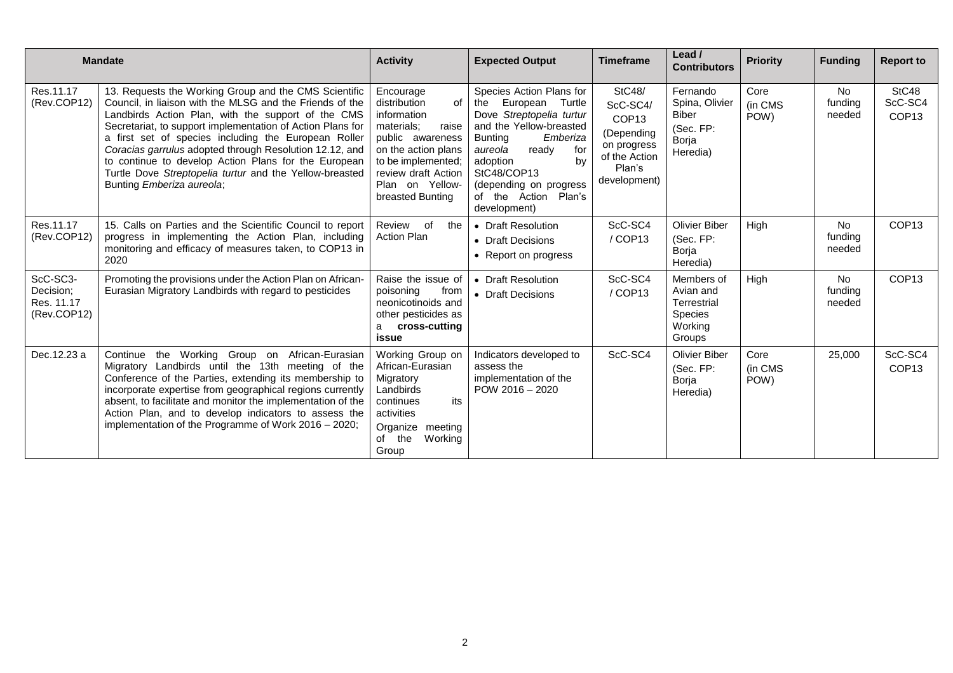|                                                    | <b>Mandate</b>                                                                                                                                                                                                                                                                                                                                                                                                                                                                                           | <b>Activity</b>                                                                                                                                                                                      | <b>Expected Output</b>                                                                                                                                                                                                                                                | <b>Timeframe</b>                                                                                                       | Lead /<br><b>Contributors</b>                                                 | <b>Priority</b>         | <b>Funding</b>                 | <b>Report to</b>                      |
|----------------------------------------------------|----------------------------------------------------------------------------------------------------------------------------------------------------------------------------------------------------------------------------------------------------------------------------------------------------------------------------------------------------------------------------------------------------------------------------------------------------------------------------------------------------------|------------------------------------------------------------------------------------------------------------------------------------------------------------------------------------------------------|-----------------------------------------------------------------------------------------------------------------------------------------------------------------------------------------------------------------------------------------------------------------------|------------------------------------------------------------------------------------------------------------------------|-------------------------------------------------------------------------------|-------------------------|--------------------------------|---------------------------------------|
| Res.11.17<br>(Rev.COP12)                           | 13. Requests the Working Group and the CMS Scientific<br>Council, in liaison with the MLSG and the Friends of the<br>Landbirds Action Plan, with the support of the CMS<br>Secretariat, to support implementation of Action Plans for<br>a first set of species including the European Roller<br>Coracias garrulus adopted through Resolution 12.12, and<br>to continue to develop Action Plans for the European<br>Turtle Dove Streptopelia turtur and the Yellow-breasted<br>Bunting Emberiza aureola; | Encourage<br>distribution<br>οf<br>information<br>materials;<br>raise<br>public awareness<br>on the action plans<br>to be implemented;<br>review draft Action<br>Plan on Yellow-<br>breasted Bunting | Species Action Plans for<br>European Turtle<br>the<br>Dove Streptopelia turtur<br>and the Yellow-breasted<br><b>Bunting</b><br>Emberiza<br>aureola<br>ready<br>for<br>by<br>adoption<br>StC48/COP13<br>(depending on progress<br>of the Action Plan's<br>development) | <b>StC48/</b><br>ScC-SC4/<br>COP <sub>13</sub><br>(Depending<br>on progress<br>of the Action<br>Plan's<br>development) | Fernando<br>Spina, Olivier<br><b>Biber</b><br>(Sec. FP:<br>Borja<br>Heredia)  | Core<br>(in CMS<br>POW) | No<br>funding<br>needed        | StC48<br>ScC-SC4<br>COP <sub>13</sub> |
| Res.11.17<br>(Rev.COP12)                           | 15. Calls on Parties and the Scientific Council to report<br>progress in implementing the Action Plan, including<br>monitoring and efficacy of measures taken, to COP13 in<br>2020                                                                                                                                                                                                                                                                                                                       | of<br>Review<br>the<br><b>Action Plan</b>                                                                                                                                                            | • Draft Resolution<br>• Draft Decisions<br>• Report on progress                                                                                                                                                                                                       | ScC-SC4<br>/COP13                                                                                                      | <b>Olivier Biber</b><br>(Sec. FP:<br>Borja<br>Heredia)                        | High                    | No<br>funding<br>needed        | COP <sub>13</sub>                     |
| ScC-SC3-<br>Decision;<br>Res. 11.17<br>(Rev.COP12) | Promoting the provisions under the Action Plan on African-<br>Eurasian Migratory Landbirds with regard to pesticides                                                                                                                                                                                                                                                                                                                                                                                     | Raise the issue of<br>poisoning<br>from<br>neonicotinoids and<br>other pesticides as<br>cross-cutting<br>a<br>issue                                                                                  | • Draft Resolution<br>• Draft Decisions                                                                                                                                                                                                                               | ScC-SC4<br>/COP13                                                                                                      | Members of<br>Avian and<br>Terrestrial<br><b>Species</b><br>Working<br>Groups | High                    | <b>No</b><br>funding<br>needed | COP <sub>13</sub>                     |
| Dec.12.23 a                                        | Continue<br>the Working Group on African-Eurasian<br>Migratory Landbirds until the 13th meeting of the<br>Conference of the Parties, extending its membership to<br>incorporate expertise from geographical regions currently<br>absent, to facilitate and monitor the implementation of the<br>Action Plan, and to develop indicators to assess the<br>implementation of the Programme of Work 2016 – 2020;                                                                                             | Working Group on<br>African-Eurasian<br>Migratory<br>Landbirds<br>its<br>continues<br>activities<br>Organize<br>meeting<br>Working<br>of the<br>Group                                                | Indicators developed to<br>assess the<br>implementation of the<br>$POW 2016 - 2020$                                                                                                                                                                                   | ScC-SC4                                                                                                                | <b>Olivier Biber</b><br>(Sec. FP:<br>Borja<br>Heredia)                        | Core<br>(in CMS<br>POW) | 25,000                         | ScC-SC4<br>COP <sub>13</sub>          |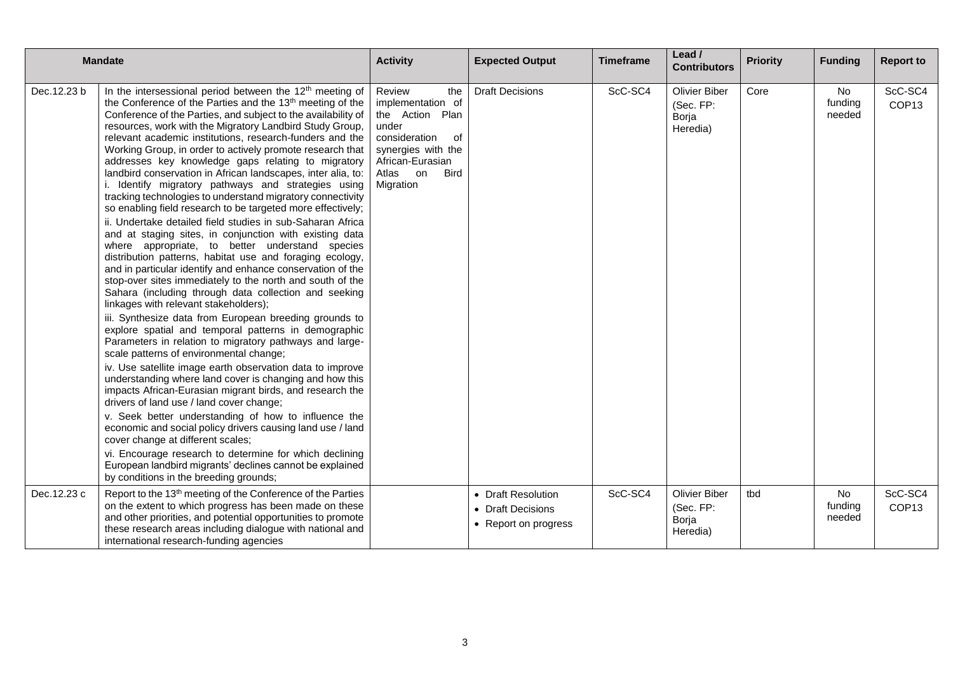| <b>Mandate</b> |                                                                                                                                                                                                                                                                                                                                                                                                                                                                                                                                                                                                                                                                                                                                                                                                                                                                                                                                                                                                                                                                                                                                                                                                                                                                                                                                                                                                                                                                                                                                                                                                                                                                                                                                                                                                                                                                                                                                                                        | <b>Activity</b>                                                                                                                                                         | <b>Expected Output</b>                                          | <b>Timeframe</b> | Lead /<br><b>Contributors</b>                          | <b>Priority</b> | <b>Funding</b>          | <b>Report to</b>             |
|----------------|------------------------------------------------------------------------------------------------------------------------------------------------------------------------------------------------------------------------------------------------------------------------------------------------------------------------------------------------------------------------------------------------------------------------------------------------------------------------------------------------------------------------------------------------------------------------------------------------------------------------------------------------------------------------------------------------------------------------------------------------------------------------------------------------------------------------------------------------------------------------------------------------------------------------------------------------------------------------------------------------------------------------------------------------------------------------------------------------------------------------------------------------------------------------------------------------------------------------------------------------------------------------------------------------------------------------------------------------------------------------------------------------------------------------------------------------------------------------------------------------------------------------------------------------------------------------------------------------------------------------------------------------------------------------------------------------------------------------------------------------------------------------------------------------------------------------------------------------------------------------------------------------------------------------------------------------------------------------|-------------------------------------------------------------------------------------------------------------------------------------------------------------------------|-----------------------------------------------------------------|------------------|--------------------------------------------------------|-----------------|-------------------------|------------------------------|
| Dec. 12.23 b   | In the intersessional period between the 12 <sup>th</sup> meeting of<br>the Conference of the Parties and the 13 <sup>th</sup> meeting of the<br>Conference of the Parties, and subject to the availability of<br>resources, work with the Migratory Landbird Study Group,<br>relevant academic institutions, research-funders and the<br>Working Group, in order to actively promote research that<br>addresses key knowledge gaps relating to migratory<br>landbird conservation in African landscapes, inter alia, to:<br>i. Identify migratory pathways and strategies using<br>tracking technologies to understand migratory connectivity<br>so enabling field research to be targeted more effectively;<br>ii. Undertake detailed field studies in sub-Saharan Africa<br>and at staging sites, in conjunction with existing data<br>where appropriate, to better understand species<br>distribution patterns, habitat use and foraging ecology,<br>and in particular identify and enhance conservation of the<br>stop-over sites immediately to the north and south of the<br>Sahara (including through data collection and seeking<br>linkages with relevant stakeholders);<br>iii. Synthesize data from European breeding grounds to<br>explore spatial and temporal patterns in demographic<br>Parameters in relation to migratory pathways and large-<br>scale patterns of environmental change;<br>iv. Use satellite image earth observation data to improve<br>understanding where land cover is changing and how this<br>impacts African-Eurasian migrant birds, and research the<br>drivers of land use / land cover change;<br>v. Seek better understanding of how to influence the<br>economic and social policy drivers causing land use / land<br>cover change at different scales;<br>vi. Encourage research to determine for which declining<br>European landbird migrants' declines cannot be explained<br>by conditions in the breeding grounds; | Review<br>the<br>implementation of<br>the Action Plan<br>under<br>consideration<br>of<br>synergies with the<br>African-Eurasian<br>Atlas on<br><b>Bird</b><br>Migration | <b>Draft Decisions</b>                                          | ScC-SC4          | <b>Olivier Biber</b><br>(Sec. FP:<br>Borja<br>Heredia) | Core            | No<br>funding<br>needed | ScC-SC4<br>COP <sub>13</sub> |
| Dec.12.23 c    | Report to the 13 <sup>th</sup> meeting of the Conference of the Parties<br>on the extent to which progress has been made on these<br>and other priorities, and potential opportunities to promote<br>these research areas including dialogue with national and<br>international research-funding agencies                                                                                                                                                                                                                                                                                                                                                                                                                                                                                                                                                                                                                                                                                                                                                                                                                                                                                                                                                                                                                                                                                                                                                                                                                                                                                                                                                                                                                                                                                                                                                                                                                                                              |                                                                                                                                                                         | • Draft Resolution<br>• Draft Decisions<br>• Report on progress | ScC-SC4          | <b>Olivier Biber</b><br>(Sec. FP:<br>Borja<br>Heredia) | tbd             | No<br>funding<br>needed | ScC-SC4<br>COP <sub>13</sub> |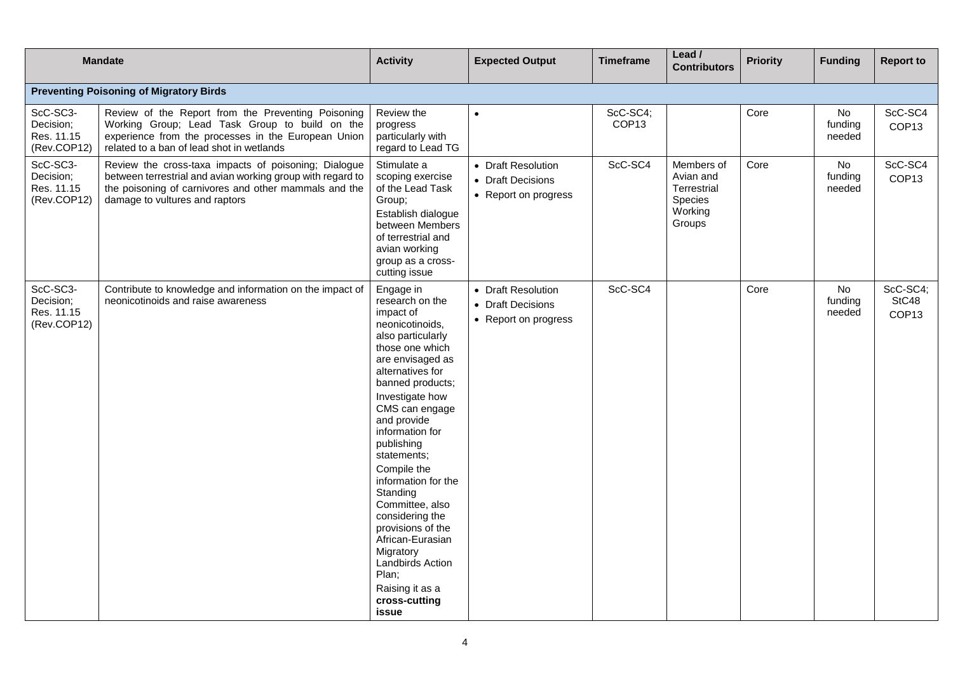|                                                    | <b>Mandate</b>                                                                                                                                                                                                | <b>Activity</b>                                                                                                                                                                                                                                                                                                                                                                                                                                                                              | <b>Expected Output</b>                                          | <b>Timeframe</b>              | Lead /<br><b>Contributors</b>                                          | <b>Priority</b> | <b>Funding</b>          | <b>Report to</b>                       |
|----------------------------------------------------|---------------------------------------------------------------------------------------------------------------------------------------------------------------------------------------------------------------|----------------------------------------------------------------------------------------------------------------------------------------------------------------------------------------------------------------------------------------------------------------------------------------------------------------------------------------------------------------------------------------------------------------------------------------------------------------------------------------------|-----------------------------------------------------------------|-------------------------------|------------------------------------------------------------------------|-----------------|-------------------------|----------------------------------------|
|                                                    | <b>Preventing Poisoning of Migratory Birds</b>                                                                                                                                                                |                                                                                                                                                                                                                                                                                                                                                                                                                                                                                              |                                                                 |                               |                                                                        |                 |                         |                                        |
| ScC-SC3-<br>Decision;<br>Res. 11.15<br>(Rev.COP12) | Review of the Report from the Preventing Poisoning<br>Working Group; Lead Task Group to build on the<br>experience from the processes in the European Union<br>related to a ban of lead shot in wetlands      | Review the<br>progress<br>particularly with<br>regard to Lead TG                                                                                                                                                                                                                                                                                                                                                                                                                             | $\bullet$                                                       | ScC-SC4;<br>COP <sub>13</sub> |                                                                        | Core            | No<br>funding<br>needed | ScC-SC4<br>COP <sub>13</sub>           |
| ScC-SC3-<br>Decision;<br>Res. 11.15<br>(Rev.COP12) | Review the cross-taxa impacts of poisoning; Dialogue<br>between terrestrial and avian working group with regard to<br>the poisoning of carnivores and other mammals and the<br>damage to vultures and raptors | Stimulate a<br>scoping exercise<br>of the Lead Task<br>Group;<br>Establish dialogue<br>between Members<br>of terrestrial and<br>avian working<br>group as a cross-<br>cutting issue                                                                                                                                                                                                                                                                                                          | • Draft Resolution<br>• Draft Decisions<br>• Report on progress | ScC-SC4                       | Members of<br>Avian and<br>Terrestrial<br>Species<br>Working<br>Groups | Core            | No<br>funding<br>needed | ScC-SC4<br>COP <sub>13</sub>           |
| ScC-SC3-<br>Decision;<br>Res. 11.15<br>(Rev.COP12) | Contribute to knowledge and information on the impact of<br>neonicotinoids and raise awareness                                                                                                                | Engage in<br>research on the<br>impact of<br>neonicotinoids,<br>also particularly<br>those one which<br>are envisaged as<br>alternatives for<br>banned products;<br>Investigate how<br>CMS can engage<br>and provide<br>information for<br>publishing<br>statements;<br>Compile the<br>information for the<br>Standing<br>Committee, also<br>considering the<br>provisions of the<br>African-Eurasian<br>Migratory<br>Landbirds Action<br>Plan;<br>Raising it as a<br>cross-cutting<br>issue | • Draft Resolution<br>• Draft Decisions<br>• Report on progress | ScC-SC4                       |                                                                        | Core            | No<br>funding<br>needed | ScC-SC4;<br>StC48<br>COP <sub>13</sub> |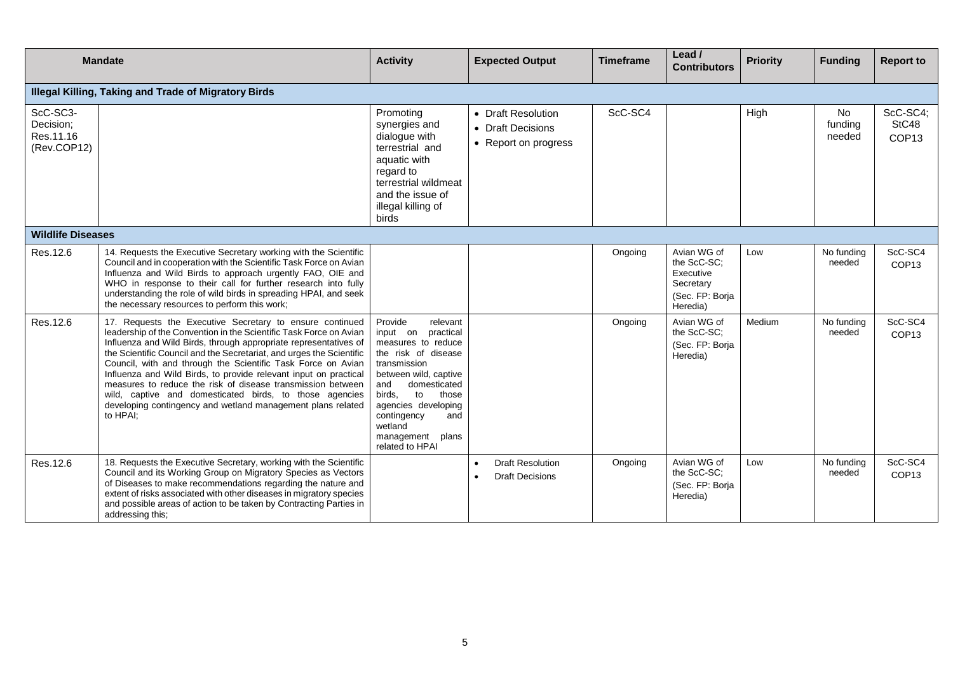|                                                   | <b>Mandate</b>                                                                                                                                                                                                                                                                                                                                                                                                                                                                                                                                                                                                      | <b>Activity</b>                                                                                                                                                                                                                                                                      | <b>Expected Output</b>                                          | <b>Timeframe</b> | Lead /<br><b>Contributors</b>                                                       | <b>Priority</b> | <b>Funding</b>          | <b>Report to</b>                       |
|---------------------------------------------------|---------------------------------------------------------------------------------------------------------------------------------------------------------------------------------------------------------------------------------------------------------------------------------------------------------------------------------------------------------------------------------------------------------------------------------------------------------------------------------------------------------------------------------------------------------------------------------------------------------------------|--------------------------------------------------------------------------------------------------------------------------------------------------------------------------------------------------------------------------------------------------------------------------------------|-----------------------------------------------------------------|------------------|-------------------------------------------------------------------------------------|-----------------|-------------------------|----------------------------------------|
|                                                   | Illegal Killing, Taking and Trade of Migratory Birds                                                                                                                                                                                                                                                                                                                                                                                                                                                                                                                                                                |                                                                                                                                                                                                                                                                                      |                                                                 |                  |                                                                                     |                 |                         |                                        |
| ScC-SC3-<br>Decision;<br>Res.11.16<br>(Rev.COP12) |                                                                                                                                                                                                                                                                                                                                                                                                                                                                                                                                                                                                                     | Promoting<br>synergies and<br>dialogue with<br>terrestrial and<br>aquatic with<br>regard to<br>terrestrial wildmeat<br>and the issue of<br>illegal killing of<br><b>birds</b>                                                                                                        | • Draft Resolution<br>• Draft Decisions<br>• Report on progress | ScC-SC4          |                                                                                     | High            | No<br>funding<br>needed | ScC-SC4;<br>StC48<br>COP <sub>13</sub> |
| <b>Wildlife Diseases</b>                          |                                                                                                                                                                                                                                                                                                                                                                                                                                                                                                                                                                                                                     |                                                                                                                                                                                                                                                                                      |                                                                 |                  |                                                                                     |                 |                         |                                        |
| Res.12.6                                          | 14. Requests the Executive Secretary working with the Scientific<br>Council and in cooperation with the Scientific Task Force on Avian<br>Influenza and Wild Birds to approach urgently FAO, OIE and<br>WHO in response to their call for further research into fully<br>understanding the role of wild birds in spreading HPAI, and seek<br>the necessary resources to perform this work;                                                                                                                                                                                                                          |                                                                                                                                                                                                                                                                                      |                                                                 | Ongoing          | Avian WG of<br>the ScC-SC:<br>Executive<br>Secretary<br>(Sec. FP: Borja<br>Heredia) | Low             | No funding<br>needed    | ScC-SC4<br>COP <sub>13</sub>           |
| Res.12.6                                          | 17. Requests the Executive Secretary to ensure continued<br>leadership of the Convention in the Scientific Task Force on Avian<br>Influenza and Wild Birds, through appropriate representatives of<br>the Scientific Council and the Secretariat, and urges the Scientific<br>Council, with and through the Scientific Task Force on Avian<br>Influenza and Wild Birds, to provide relevant input on practical<br>measures to reduce the risk of disease transmission between<br>wild, captive and domesticated birds, to those agencies<br>developing contingency and wetland management plans related<br>to HPAI; | Provide<br>relevant<br>input on<br>practical<br>measures to reduce<br>the risk of disease<br>transmission<br>between wild, captive<br>domesticated<br>and<br>birds.<br>to<br>those<br>agencies developing<br>contingency<br>and<br>wetland<br>management<br>plans<br>related to HPAI |                                                                 | Ongoing          | Avian WG of<br>the ScC-SC;<br>(Sec. FP: Borja<br>Heredia)                           | Medium          | No funding<br>needed    | ScC-SC4<br>COP <sub>13</sub>           |
| Res.12.6                                          | 18. Requests the Executive Secretary, working with the Scientific<br>Council and its Working Group on Migratory Species as Vectors<br>of Diseases to make recommendations regarding the nature and<br>extent of risks associated with other diseases in migratory species<br>and possible areas of action to be taken by Contracting Parties in<br>addressing this:                                                                                                                                                                                                                                                 |                                                                                                                                                                                                                                                                                      | <b>Draft Resolution</b><br><b>Draft Decisions</b>               | Ongoing          | Avian WG of<br>the ScC-SC:<br>(Sec. FP: Borja<br>Heredia)                           | Low             | No funding<br>needed    | ScC-SC4<br>COP <sub>13</sub>           |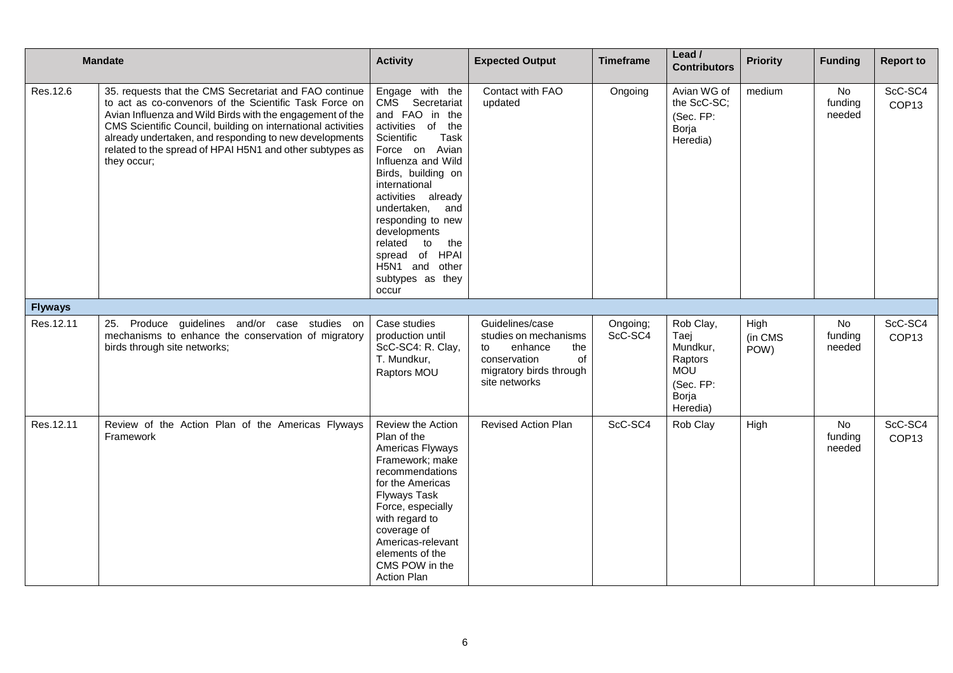|                | <b>Mandate</b>                                                                                                                                                                                                                                                                                                                                                                     | <b>Activity</b>                                                                                                                                                                                                                                                                                                                                             | <b>Expected Output</b>                                                                                                             | <b>Timeframe</b>    | Lead /<br><b>Contributors</b>                                                            | <b>Priority</b>         | <b>Funding</b>           | <b>Report to</b>             |
|----------------|------------------------------------------------------------------------------------------------------------------------------------------------------------------------------------------------------------------------------------------------------------------------------------------------------------------------------------------------------------------------------------|-------------------------------------------------------------------------------------------------------------------------------------------------------------------------------------------------------------------------------------------------------------------------------------------------------------------------------------------------------------|------------------------------------------------------------------------------------------------------------------------------------|---------------------|------------------------------------------------------------------------------------------|-------------------------|--------------------------|------------------------------|
| Res.12.6       | 35. requests that the CMS Secretariat and FAO continue<br>to act as co-convenors of the Scientific Task Force on<br>Avian Influenza and Wild Birds with the engagement of the<br>CMS Scientific Council, building on international activities<br>already undertaken, and responding to new developments<br>related to the spread of HPAI H5N1 and other subtypes as<br>they occur; | Engage with the<br>CMS Secretariat<br>and FAO in the<br>activities of<br>the<br>Scientific<br>Task<br>Force on Avian<br>Influenza and Wild<br>Birds, building on<br>international<br>activities already<br>undertaken,<br>and<br>responding to new<br>developments<br>the<br>related<br>to<br>spread of HPAI<br>H5N1 and other<br>subtypes as they<br>occur | Contact with FAO<br>updated                                                                                                        | Ongoing             | Avian WG of<br>the ScC-SC;<br>(Sec. FP:<br>Borja<br>Heredia)                             | medium                  | No<br>funding<br>needed  | ScC-SC4<br>COP <sub>13</sub> |
| <b>Flyways</b> |                                                                                                                                                                                                                                                                                                                                                                                    |                                                                                                                                                                                                                                                                                                                                                             |                                                                                                                                    |                     |                                                                                          |                         |                          |                              |
| Res.12.11      | 25. Produce guidelines and/or case studies on<br>mechanisms to enhance the conservation of migratory<br>birds through site networks;                                                                                                                                                                                                                                               | Case studies<br>production until<br>ScC-SC4: R. Clay,<br>T. Mundkur,<br>Raptors MOU                                                                                                                                                                                                                                                                         | Guidelines/case<br>studies on mechanisms<br>enhance<br>the<br>to<br>conservation<br>of<br>migratory birds through<br>site networks | Ongoing;<br>ScC-SC4 | Rob Clay,<br>Taej<br>Mundkur,<br>Raptors<br><b>MOU</b><br>(Sec. FP:<br>Borja<br>Heredia) | High<br>(in CMS<br>POW) | No<br>funding<br>needed  | ScC-SC4<br>COP <sub>13</sub> |
| Res.12.11      | Review of the Action Plan of the Americas Flyways<br>Framework                                                                                                                                                                                                                                                                                                                     | Review the Action<br>Plan of the<br>Americas Flyways<br>Framework; make<br>recommendations<br>for the Americas<br><b>Flyways Task</b><br>Force, especially<br>with regard to<br>coverage of<br>Americas-relevant<br>elements of the<br>CMS POW in the<br><b>Action Plan</b>                                                                                 | <b>Revised Action Plan</b>                                                                                                         | ScC-SC4             | Rob Clay                                                                                 | High                    | No.<br>funding<br>needed | ScC-SC4<br>COP <sub>13</sub> |